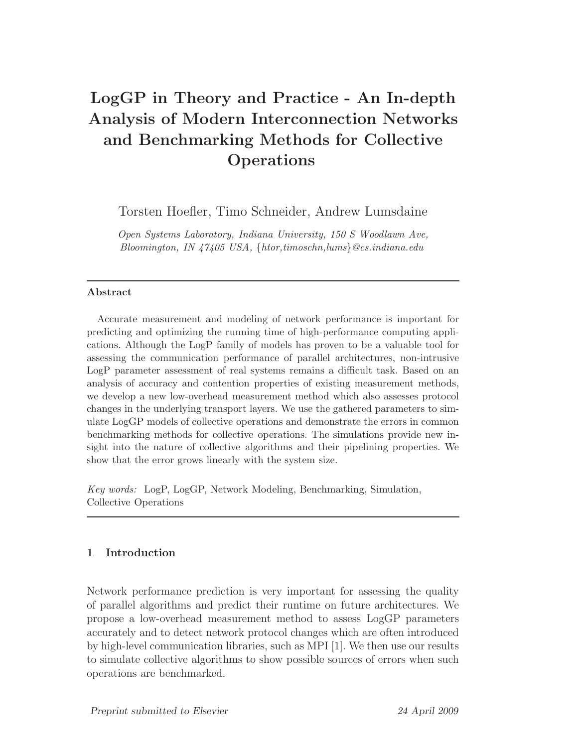# LogGP in Theory and Practice - An In-depth Analysis of Modern Interconnection Networks and Benchmarking Methods for Collective **Operations**

Torsten Hoefler, Timo Schneider, Andrew Lumsdaine

*Open Systems Laboratory, Indiana University, 150 S Woodlawn Ave, Bloomington, IN 47405 USA,* {*htor,timoschn,lums*}*@cs.indiana.edu*

## Abstract

Accurate measurement and modeling of network performance is important for predicting and optimizing the running time of high-performance computing applications. Although the LogP family of models has proven to be a valuable tool for assessing the communication performance of parallel architectures, non-intrusive LogP parameter assessment of real systems remains a difficult task. Based on an analysis of accuracy and contention properties of existing measurement methods, we develop a new low-overhead measurement method which also assesses protocol changes in the underlying transport layers. We use the gathered parameters to simulate LogGP models of collective operations and demonstrate the errors in common benchmarking methods for collective operations. The simulations provide new insight into the nature of collective algorithms and their pipelining properties. We show that the error grows linearly with the system size.

*Key words:* LogP, LogGP, Network Modeling, Benchmarking, Simulation, Collective Operations

# 1 Introduction

Network performance prediction is very important for assessing the quality of parallel algorithms and predict their runtime on future architectures. We propose a low-overhead measurement method to assess LogGP parameters accurately and to detect network protocol changes which are often introduced by high-level communication libraries, such as MPI [1]. We then use our results to simulate collective algorithms to show possible sources of errors when such operations are benchmarked.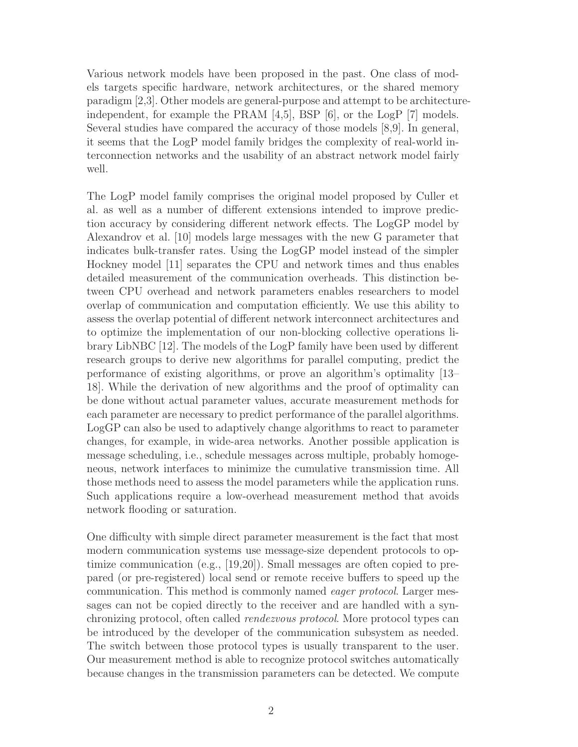Various network models have been proposed in the past. One class of models targets specific hardware, network architectures, or the shared memory paradigm [2,3]. Other models are general-purpose and attempt to be architectureindependent, for example the PRAM [4,5], BSP [6], or the LogP [7] models. Several studies have compared the accuracy of those models [8,9]. In general, it seems that the LogP model family bridges the complexity of real-world interconnection networks and the usability of an abstract network model fairly well.

The LogP model family comprises the original model proposed by Culler et al. as well as a number of different extensions intended to improve prediction accuracy by considering different network effects. The LogGP model by Alexandrov et al. [10] models large messages with the new G parameter that indicates bulk-transfer rates. Using the LogGP model instead of the simpler Hockney model [11] separates the CPU and network times and thus enables detailed measurement of the communication overheads. This distinction between CPU overhead and network parameters enables researchers to model overlap of communication and computation efficiently. We use this ability to assess the overlap potential of different network interconnect architectures and to optimize the implementation of our non-blocking collective operations library LibNBC [12]. The models of the LogP family have been used by different research groups to derive new algorithms for parallel computing, predict the performance of existing algorithms, or prove an algorithm's optimality [13– 18]. While the derivation of new algorithms and the proof of optimality can be done without actual parameter values, accurate measurement methods for each parameter are necessary to predict performance of the parallel algorithms. LogGP can also be used to adaptively change algorithms to react to parameter changes, for example, in wide-area networks. Another possible application is message scheduling, i.e., schedule messages across multiple, probably homogeneous, network interfaces to minimize the cumulative transmission time. All those methods need to assess the model parameters while the application runs. Such applications require a low-overhead measurement method that avoids network flooding or saturation.

One difficulty with simple direct parameter measurement is the fact that most modern communication systems use message-size dependent protocols to optimize communication (e.g., [19,20]). Small messages are often copied to prepared (or pre-registered) local send or remote receive buffers to speed up the communication. This method is commonly named eager protocol. Larger messages can not be copied directly to the receiver and are handled with a synchronizing protocol, often called rendezvous protocol. More protocol types can be introduced by the developer of the communication subsystem as needed. The switch between those protocol types is usually transparent to the user. Our measurement method is able to recognize protocol switches automatically because changes in the transmission parameters can be detected. We compute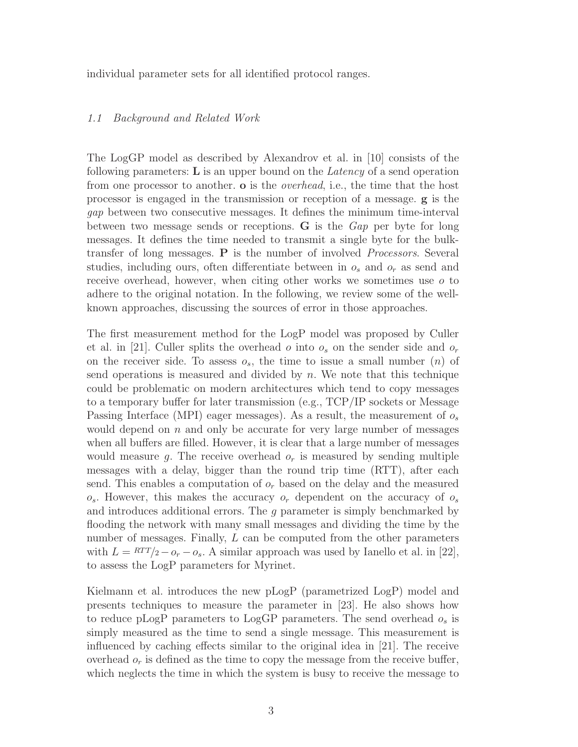individual parameter sets for all identified protocol ranges.

#### 1.1 Background and Related Work

The LogGP model as described by Alexandrov et al. in [10] consists of the following parameters:  $\bf{L}$  is an upper bound on the *Latency* of a send operation from one processor to another. **o** is the *overhead*, i.e., the time that the host processor is engaged in the transmission or reception of a message. g is the gap between two consecutive messages. It defines the minimum time-interval between two message sends or receptions. G is the Gap per byte for long messages. It defines the time needed to transmit a single byte for the bulktransfer of long messages. P is the number of involved Processors. Several studies, including ours, often differentiate between in  $o_s$  and  $o_r$  as send and receive overhead, however, when citing other works we sometimes use  $\sigma$  to adhere to the original notation. In the following, we review some of the wellknown approaches, discussing the sources of error in those approaches.

The first measurement method for the LogP model was proposed by Culler et al. in [21]. Culler splits the overhead o into  $o_s$  on the sender side and  $o_r$ on the receiver side. To assess  $o_s$ , the time to issue a small number  $(n)$  of send operations is measured and divided by  $n$ . We note that this technique could be problematic on modern architectures which tend to copy messages to a temporary buffer for later transmission (e.g., TCP/IP sockets or Message Passing Interface (MPI) eager messages). As a result, the measurement of  $o_s$ would depend on  $n$  and only be accurate for very large number of messages when all buffers are filled. However, it is clear that a large number of messages would measure g. The receive overhead  $o_r$  is measured by sending multiple messages with a delay, bigger than the round trip time (RTT), after each send. This enables a computation of  $o_r$  based on the delay and the measured  $o_s$ . However, this makes the accuracy  $o_r$  dependent on the accuracy of  $o_s$ and introduces additional errors. The g parameter is simply benchmarked by flooding the network with many small messages and dividing the time by the number of messages. Finally, L can be computed from the other parameters with  $L = RTT/2 - o_r - o_s$ . A similar approach was used by Ianello et al. in [22], to assess the LogP parameters for Myrinet.

Kielmann et al. introduces the new pLogP (parametrized LogP) model and presents techniques to measure the parameter in [23]. He also shows how to reduce pLogP parameters to LogGP parameters. The send overhead  $o_s$  is simply measured as the time to send a single message. This measurement is influenced by caching effects similar to the original idea in [21]. The receive overhead  $o_r$  is defined as the time to copy the message from the receive buffer, which neglects the time in which the system is busy to receive the message to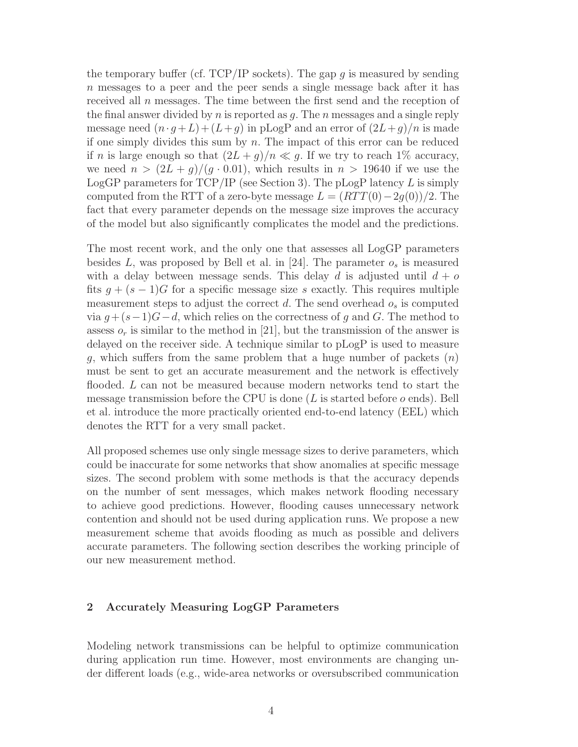the temporary buffer (cf. TCP/IP sockets). The gap q is measured by sending n messages to a peer and the peer sends a single message back after it has received all  $n$  messages. The time between the first send and the reception of the final answer divided by n is reported as  $q$ . The n messages and a single reply message need  $(n \cdot q + L) + (L+q)$  in pLogP and an error of  $(2L+q)/n$  is made if one simply divides this sum by  $n$ . The impact of this error can be reduced if n is large enough so that  $(2L + g)/n \ll g$ . If we try to reach 1% accuracy, we need  $n > (2L + g)/(g \cdot 0.01)$ , which results in  $n > 19640$  if we use the LogGP parameters for  $TCP/IP$  (see Section 3). The pLogP latency L is simply computed from the RTT of a zero-byte message  $L = (RTT(0)-2g(0))/2$ . The fact that every parameter depends on the message size improves the accuracy of the model but also significantly complicates the model and the predictions.

The most recent work, and the only one that assesses all LogGP parameters besides L, was proposed by Bell et al. in [24]. The parameter  $o_s$  is measured with a delay between message sends. This delay d is adjusted until  $d + o$ fits  $g + (s - 1)G$  for a specific message size s exactly. This requires multiple measurement steps to adjust the correct  $d$ . The send overhead  $o_s$  is computed via  $g + (s-1)G-d$ , which relies on the correctness of g and G. The method to assess  $o_r$  is similar to the method in [21], but the transmission of the answer is delayed on the receiver side. A technique similar to pLogP is used to measure g, which suffers from the same problem that a huge number of packets  $(n)$ must be sent to get an accurate measurement and the network is effectively flooded. L can not be measured because modern networks tend to start the message transmission before the CPU is done  $(L$  is started before  $o$  ends). Bell et al. introduce the more practically oriented end-to-end latency (EEL) which denotes the RTT for a very small packet.

All proposed schemes use only single message sizes to derive parameters, which could be inaccurate for some networks that show anomalies at specific message sizes. The second problem with some methods is that the accuracy depends on the number of sent messages, which makes network flooding necessary to achieve good predictions. However, flooding causes unnecessary network contention and should not be used during application runs. We propose a new measurement scheme that avoids flooding as much as possible and delivers accurate parameters. The following section describes the working principle of our new measurement method.

#### 2 Accurately Measuring LogGP Parameters

Modeling network transmissions can be helpful to optimize communication during application run time. However, most environments are changing under different loads (e.g., wide-area networks or oversubscribed communication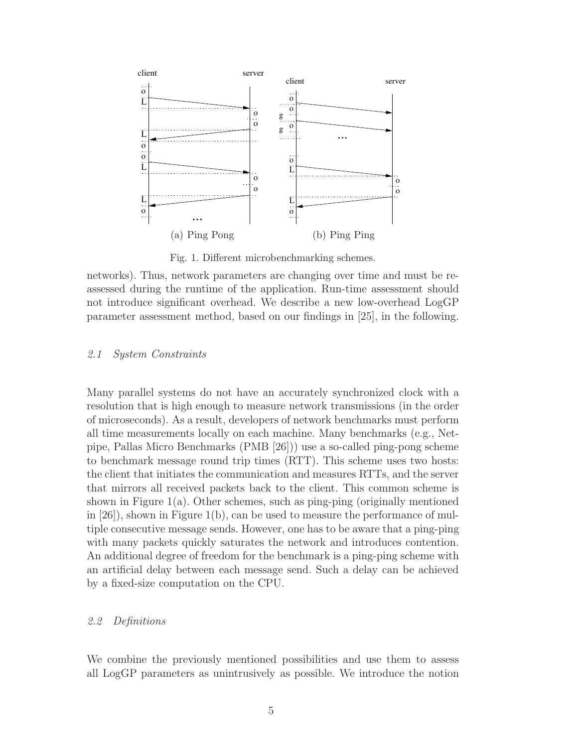

Fig. 1. Different microbenchmarking schemes.

## 2.1 System Constraints

Many parallel systems do not have an accurately synchronized clock with a resolution that is high enough to measure network transmissions (in the order of microseconds). As a result, developers of network benchmarks must perform all time measurements locally on each machine. Many benchmarks (e.g., Netpipe, Pallas Micro Benchmarks (PMB [26])) use a so-called ping-pong scheme to benchmark message round trip times (RTT). This scheme uses two hosts: the client that initiates the communication and measures RTTs, and the server that mirrors all received packets back to the client. This common scheme is shown in Figure  $1(a)$ . Other schemes, such as ping-ping (originally mentioned in [26]), shown in Figure 1(b), can be used to measure the performance of multiple consecutive message sends. However, one has to be aware that a ping-ping with many packets quickly saturates the network and introduces contention. An additional degree of freedom for the benchmark is a ping-ping scheme with an artificial delay between each message send. Such a delay can be achieved by a fixed-size computation on the CPU.

#### 2.2 Definitions

We combine the previously mentioned possibilities and use them to assess all LogGP parameters as unintrusively as possible. We introduce the notion

networks). Thus, network parameters are changing over time and must be reassessed during the runtime of the application. Run-time assessment should not introduce significant overhead. We describe a new low-overhead LogGP parameter assessment method, based on our findings in [25], in the following.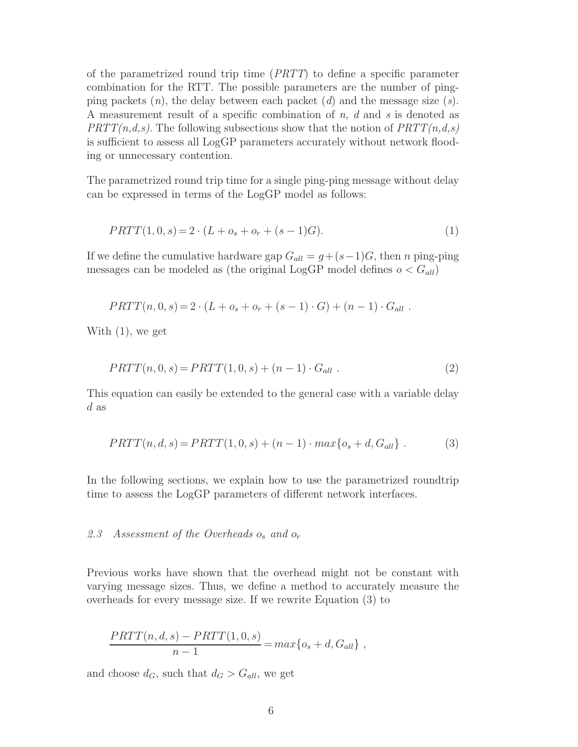of the parametrized round trip time (PRTT) to define a specific parameter combination for the RTT. The possible parameters are the number of pingping packets  $(n)$ , the delay between each packet  $(d)$  and the message size  $(s)$ . A measurement result of a specific combination of n, d and s is denoted as  $PRTT(n,d,s)$ . The following subsections show that the notion of  $PRTT(n,d,s)$ is sufficient to assess all LogGP parameters accurately without network flooding or unnecessary contention.

The parametrized round trip time for a single ping-ping message without delay can be expressed in terms of the LogGP model as follows:

$$
PRTT(1,0,s) = 2 \cdot (L + o_s + o_r + (s-1)G). \tag{1}
$$

If we define the cumulative hardware gap  $G_{all} = g + (s-1)G$ , then n ping-ping messages can be modeled as (the original LogGP model defines  $o < G_{all}$ )

$$
PRTT(n, 0, s) = 2 \cdot (L + o_s + o_r + (s - 1) \cdot G) + (n - 1) \cdot G_{all}.
$$

With (1), we get

$$
PRTT(n, 0, s) = PRTT(1, 0, s) + (n - 1) \cdot G_{all} . \tag{2}
$$

This equation can easily be extended to the general case with a variable delay d as

$$
PRTT(n, d, s) = PRTT(1, 0, s) + (n - 1) \cdot max\{o_s + d, G_{all}\}.
$$
 (3)

In the following sections, we explain how to use the parametrized roundtrip time to assess the LogGP parameters of different network interfaces.

## 2.3 Assessment of the Overheads  $o_s$  and  $o_r$

Previous works have shown that the overhead might not be constant with varying message sizes. Thus, we define a method to accurately measure the overheads for every message size. If we rewrite Equation (3) to

$$
\frac{PRTT(n,d,s) - PRTT(1,0,s)}{n-1} = max\{o_s + d, G_{all}\},
$$

and choose  $d_G$ , such that  $d_G > G_{all}$ , we get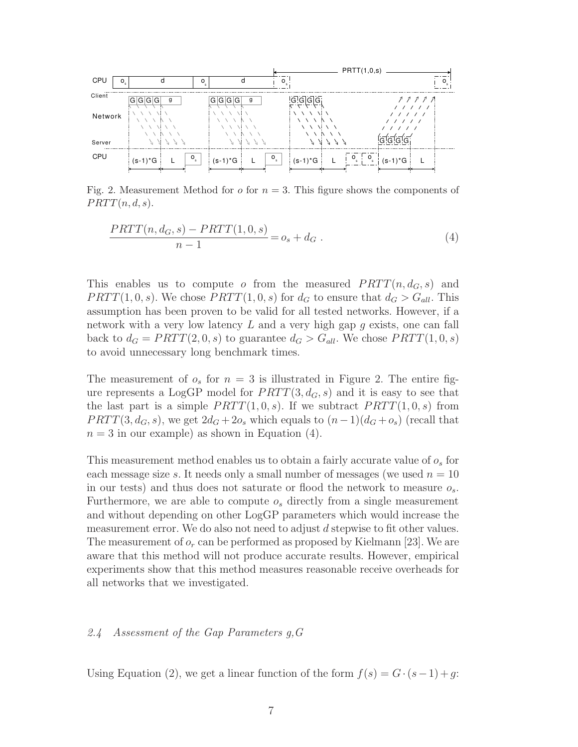

Fig. 2. Measurement Method for  $\sigma$  for  $n = 3$ . This figure shows the components of  $PRTT(n, d, s).$ 

$$
\frac{PRTT(n, d_G, s) - PRTT(1, 0, s)}{n - 1} = o_s + d_G.
$$
\n(4)

This enables us to compute o from the measured  $PRTT(n, d_G, s)$  and  $PRTT(1, 0, s)$ . We chose  $PRTT(1, 0, s)$  for  $d_G$  to ensure that  $d_G > G_{all}$ . This assumption has been proven to be valid for all tested networks. However, if a network with a very low latency  $L$  and a very high gap  $g$  exists, one can fall back to  $d_G = PRTT(2, 0, s)$  to guarantee  $d_G > G_{all}$ . We chose  $PRTT(1, 0, s)$ to avoid unnecessary long benchmark times.

The measurement of  $o_s$  for  $n = 3$  is illustrated in Figure 2. The entire figure represents a LogGP model for  $PRTT(3, d_G, s)$  and it is easy to see that the last part is a simple  $PRTT(1, 0, s)$ . If we subtract  $PRTT(1, 0, s)$  from  $PRTT(3, d_G, s)$ , we get  $2d_G + 2o_s$  which equals to  $(n-1)(d_G + o_s)$  (recall that  $n = 3$  in our example) as shown in Equation (4).

This measurement method enables us to obtain a fairly accurate value of  $o_s$  for each message size s. It needs only a small number of messages (we used  $n = 10$ ) in our tests) and thus does not saturate or flood the network to measure  $o_s$ . Furthermore, we are able to compute  $o_s$  directly from a single measurement and without depending on other LogGP parameters which would increase the measurement error. We do also not need to adjust d stepwise to fit other values. The measurement of  $o_r$  can be performed as proposed by Kielmann [23]. We are aware that this method will not produce accurate results. However, empirical experiments show that this method measures reasonable receive overheads for all networks that we investigated.

#### 2.4 Assessment of the Gap Parameters g,G

Using Equation (2), we get a linear function of the form  $f(s) = G \cdot (s-1) + g$ :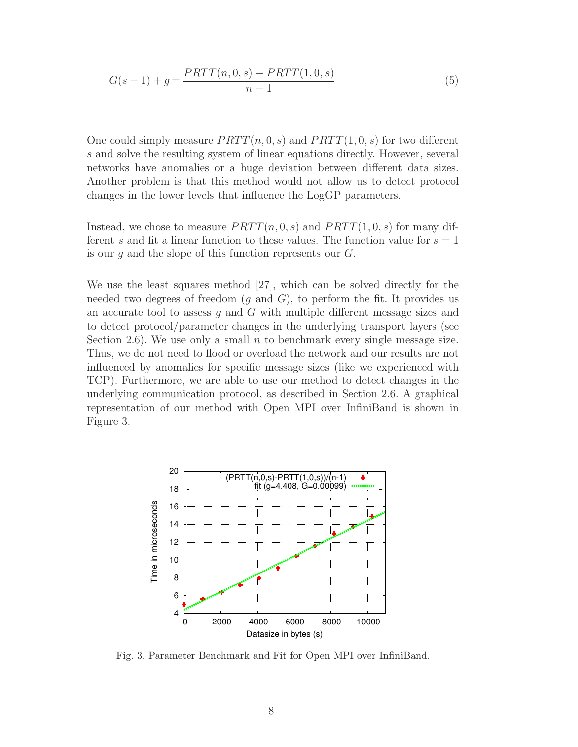$$
G(s-1) + g = \frac{PRTT(n,0,s) - PRTT(1,0,s)}{n-1}
$$
\n(5)

One could simply measure  $PRTT(n, 0, s)$  and  $PRTT(1, 0, s)$  for two different s and solve the resulting system of linear equations directly. However, several networks have anomalies or a huge deviation between different data sizes. Another problem is that this method would not allow us to detect protocol changes in the lower levels that influence the LogGP parameters.

Instead, we chose to measure  $PRTT(n, 0, s)$  and  $PRTT(1, 0, s)$  for many different s and fit a linear function to these values. The function value for  $s = 1$ is our  $q$  and the slope of this function represents our  $G$ .

We use the least squares method [27], which can be solved directly for the needed two degrees of freedom  $(g \text{ and } G)$ , to perform the fit. It provides us an accurate tool to assess  $g$  and  $G$  with multiple different message sizes and to detect protocol/parameter changes in the underlying transport layers (see Section 2.6). We use only a small n to benchmark every single message size. Thus, we do not need to flood or overload the network and our results are not influenced by anomalies for specific message sizes (like we experienced with TCP). Furthermore, we are able to use our method to detect changes in the underlying communication protocol, as described in Section 2.6. A graphical representation of our method with Open MPI over InfiniBand is shown in Figure 3.



Fig. 3. Parameter Benchmark and Fit for Open MPI over InfiniBand.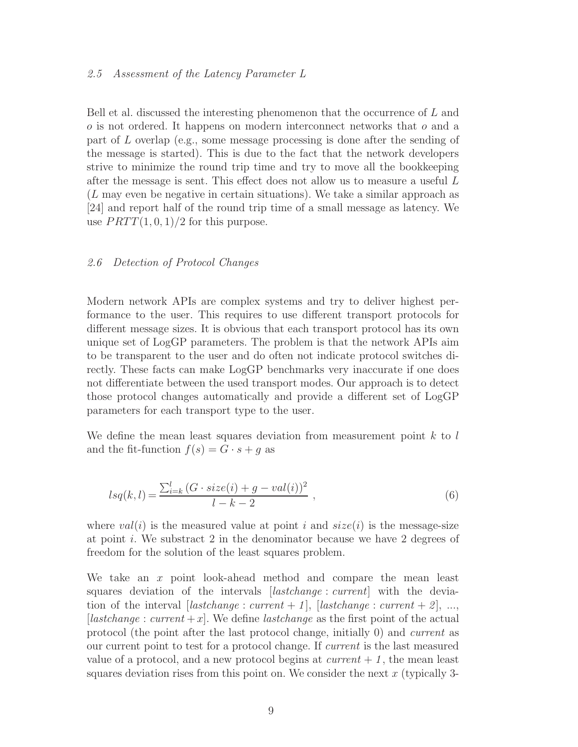#### 2.5 Assessment of the Latency Parameter L

Bell et al. discussed the interesting phenomenon that the occurrence of L and o is not ordered. It happens on modern interconnect networks that o and a part of L overlap (e.g., some message processing is done after the sending of the message is started). This is due to the fact that the network developers strive to minimize the round trip time and try to move all the bookkeeping after the message is sent. This effect does not allow us to measure a useful L (L may even be negative in certain situations). We take a similar approach as [24] and report half of the round trip time of a small message as latency. We use  $PRTT(1, 0, 1)/2$  for this purpose.

#### 2.6 Detection of Protocol Changes

Modern network APIs are complex systems and try to deliver highest performance to the user. This requires to use different transport protocols for different message sizes. It is obvious that each transport protocol has its own unique set of LogGP parameters. The problem is that the network APIs aim to be transparent to the user and do often not indicate protocol switches directly. These facts can make LogGP benchmarks very inaccurate if one does not differentiate between the used transport modes. Our approach is to detect those protocol changes automatically and provide a different set of LogGP parameters for each transport type to the user.

We define the mean least squares deviation from measurement point  $k$  to  $l$ and the fit-function  $f(s) = G \cdot s + g$  as

$$
lsq(k, l) = \frac{\sum_{i=k}^{l} (G \cdot size(i) + g - val(i))^{2}}{l - k - 2} ,
$$
\n(6)

where  $val(i)$  is the measured value at point i and  $size(i)$  is the message-size at point i. We substract  $2$  in the denominator because we have  $2$  degrees of freedom for the solution of the least squares problem.

We take an  $x$  point look-ahead method and compare the mean least squares deviation of the intervals [*lastchange : current*] with the deviation of the interval [lastchange : current + 1], [lastchange : current + 2], ..., [lastchange : current  $+x$ ]. We define lastchange as the first point of the actual protocol (the point after the last protocol change, initially 0) and current as our current point to test for a protocol change. If current is the last measured value of a protocol, and a new protocol begins at  $current + 1$ , the mean least squares deviation rises from this point on. We consider the next  $x$  (typically 3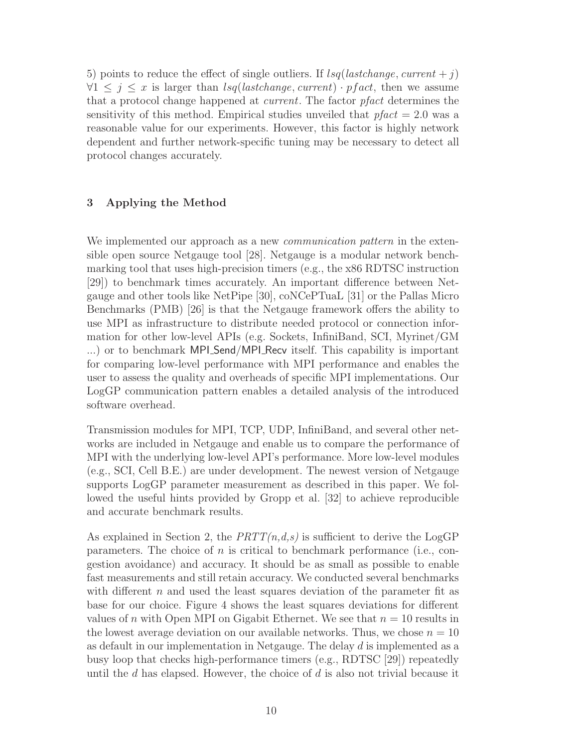5) points to reduce the effect of single outliers. If  $lsq(lastchange, current + j)$  $\forall 1 \leq j \leq x$  is larger than  $lsq(lastchange, current) \cdot pfact$ , then we assume that a protocol change happened at current. The factor pfact determines the sensitivity of this method. Empirical studies unveiled that  $pfact = 2.0$  was a reasonable value for our experiments. However, this factor is highly network dependent and further network-specific tuning may be necessary to detect all protocol changes accurately.

## 3 Applying the Method

We implemented our approach as a new *communication pattern* in the extensible open source Netgauge tool [28]. Netgauge is a modular network benchmarking tool that uses high-precision timers (e.g., the x86 RDTSC instruction [29]) to benchmark times accurately. An important difference between Netgauge and other tools like NetPipe [30], coNCePTuaL [31] or the Pallas Micro Benchmarks (PMB) [26] is that the Netgauge framework offers the ability to use MPI as infrastructure to distribute needed protocol or connection information for other low-level APIs (e.g. Sockets, InfiniBand, SCI, Myrinet/GM ...) or to benchmark MPI\_Send/MPI\_Recv itself. This capability is important for comparing low-level performance with MPI performance and enables the user to assess the quality and overheads of specific MPI implementations. Our LogGP communication pattern enables a detailed analysis of the introduced software overhead.

Transmission modules for MPI, TCP, UDP, InfiniBand, and several other networks are included in Netgauge and enable us to compare the performance of MPI with the underlying low-level API's performance. More low-level modules (e.g., SCI, Cell B.E.) are under development. The newest version of Netgauge supports LogGP parameter measurement as described in this paper. We followed the useful hints provided by Gropp et al. [32] to achieve reproducible and accurate benchmark results.

As explained in Section 2, the  $PRTT(n,d,s)$  is sufficient to derive the LogGP parameters. The choice of n is critical to benchmark performance (i.e., congestion avoidance) and accuracy. It should be as small as possible to enable fast measurements and still retain accuracy. We conducted several benchmarks with different  $n$  and used the least squares deviation of the parameter fit as base for our choice. Figure 4 shows the least squares deviations for different values of n with Open MPI on Gigabit Ethernet. We see that  $n = 10$  results in the lowest average deviation on our available networks. Thus, we chose  $n = 10$ as default in our implementation in Netgauge. The delay d is implemented as a busy loop that checks high-performance timers (e.g., RDTSC [29]) repeatedly until the  $d$  has elapsed. However, the choice of  $d$  is also not trivial because it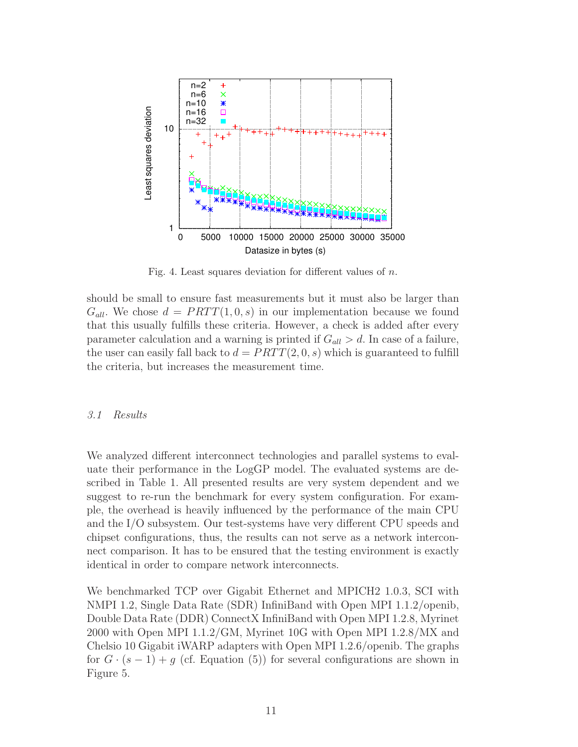

Fig. 4. Least squares deviation for different values of  $n$ .

should be small to ensure fast measurements but it must also be larger than  $G_{all}$ . We chose  $d = PRTT(1,0,s)$  in our implementation because we found that this usually fulfills these criteria. However, a check is added after every parameter calculation and a warning is printed if  $G_{all} > d$ . In case of a failure, the user can easily fall back to  $d = PRTT(2, 0, s)$  which is guaranteed to fulfill the criteria, but increases the measurement time.

#### 3.1 Results

We analyzed different interconnect technologies and parallel systems to evaluate their performance in the LogGP model. The evaluated systems are described in Table 1. All presented results are very system dependent and we suggest to re-run the benchmark for every system configuration. For example, the overhead is heavily influenced by the performance of the main CPU and the I/O subsystem. Our test-systems have very different CPU speeds and chipset configurations, thus, the results can not serve as a network interconnect comparison. It has to be ensured that the testing environment is exactly identical in order to compare network interconnects.

We benchmarked TCP over Gigabit Ethernet and MPICH2 1.0.3, SCI with NMPI 1.2, Single Data Rate (SDR) InfiniBand with Open MPI 1.1.2/openib, Double Data Rate (DDR) ConnectX InfiniBand with Open MPI 1.2.8, Myrinet 2000 with Open MPI 1.1.2/GM, Myrinet 10G with Open MPI 1.2.8/MX and Chelsio 10 Gigabit iWARP adapters with Open MPI 1.2.6/openib. The graphs for  $G \cdot (s-1) + q$  (cf. Equation (5)) for several configurations are shown in Figure 5.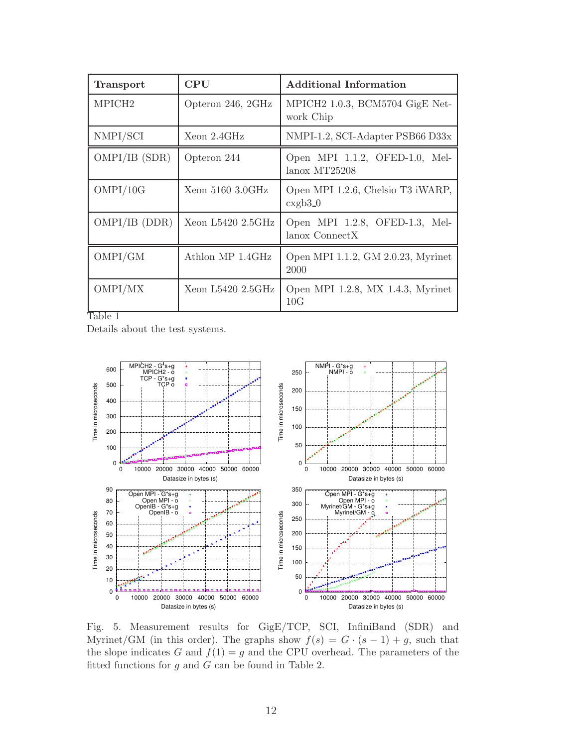| <b>Transport</b>   | $\rm CPU$           | <b>Additional Information</b>                    |  |  |
|--------------------|---------------------|--------------------------------------------------|--|--|
| MPICH <sub>2</sub> | Opteron 246, 2GHz   | MPICH2 1.0.3, BCM5704 GigE Net-<br>work Chip     |  |  |
| NMPI/SCI           | Xeon 2.4GHz         | NMPI-1.2, SCI-Adapter PSB66 D33x                 |  |  |
| OMPI/IB(SDR)       | Opteron 244         | Open MPI 1.1.2, OFED-1.0, Mel-<br>lanox MT25208  |  |  |
| OMPI/10G           | Xeon $5160$ 3.0GHz  | Open MPI 1.2.6, Chelsio T3 iWARP,<br>$\expb3.0$  |  |  |
| OMPI/IB (DDR)      | Xeon $L5420$ 2.5GHz | Open MPI 1.2.8, OFED-1.3, Mel-<br>lanox ConnectX |  |  |
| OMPI/GM            | Athlon MP 1.4GHz    | Open MPI 1.1.2, GM 2.0.23, Myrinet<br>2000       |  |  |
| OMPI/MX            | Xeon $L5420$ 2.5GHz | Open MPI 1.2.8, MX 1.4.3, Myrinet<br>10G         |  |  |

Table 1

Details about the test systems.



Fig. 5. Measurement results for GigE/TCP, SCI, InfiniBand (SDR) and Myrinet/GM (in this order). The graphs show  $f(s) = G \cdot (s-1) + g$ , such that the slope indicates G and  $f(1) = g$  and the CPU overhead. The parameters of the fitted functions for  $g$  and  $G$  can be found in Table 2.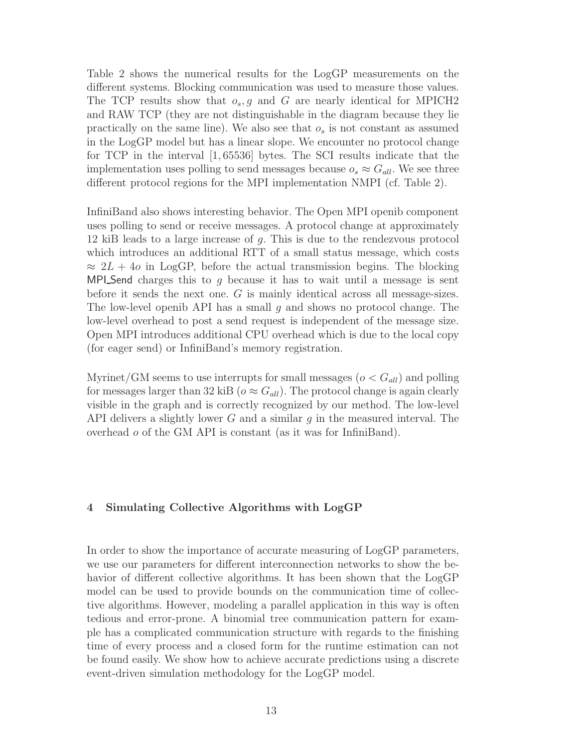Table 2 shows the numerical results for the LogGP measurements on the different systems. Blocking communication was used to measure those values. The TCP results show that  $o_s$ , g and G are nearly identical for MPICH2 and RAW TCP (they are not distinguishable in the diagram because they lie practically on the same line). We also see that  $o<sub>s</sub>$  is not constant as assumed in the LogGP model but has a linear slope. We encounter no protocol change for TCP in the interval [1, 65536] bytes. The SCI results indicate that the implementation uses polling to send messages because  $o_s \approx G_{all}$ . We see three different protocol regions for the MPI implementation NMPI (cf. Table 2).

InfiniBand also shows interesting behavior. The Open MPI openib component uses polling to send or receive messages. A protocol change at approximately 12 kiB leads to a large increase of g. This is due to the rendezvous protocol which introduces an additional RTT of a small status message, which costs  $\approx 2L + 4\sigma$  in LogGP, before the actual transmission begins. The blocking MPI Send charges this to g because it has to wait until a message is sent before it sends the next one. G is mainly identical across all message-sizes. The low-level openib API has a small q and shows no protocol change. The low-level overhead to post a send request is independent of the message size. Open MPI introduces additional CPU overhead which is due to the local copy (for eager send) or InfiniBand's memory registration.

Myrinet/GM seems to use interrupts for small messages ( $o < G_{all}$ ) and polling for messages larger than 32 kiB ( $o \approx G_{all}$ ). The protocol change is again clearly visible in the graph and is correctly recognized by our method. The low-level API delivers a slightly lower  $G$  and a similar  $g$  in the measured interval. The overhead o of the GM API is constant (as it was for InfiniBand).

## 4 Simulating Collective Algorithms with LogGP

In order to show the importance of accurate measuring of LogGP parameters, we use our parameters for different interconnection networks to show the behavior of different collective algorithms. It has been shown that the LogGP model can be used to provide bounds on the communication time of collective algorithms. However, modeling a parallel application in this way is often tedious and error-prone. A binomial tree communication pattern for example has a complicated communication structure with regards to the finishing time of every process and a closed form for the runtime estimation can not be found easily. We show how to achieve accurate predictions using a discrete event-driven simulation methodology for the LogGP model.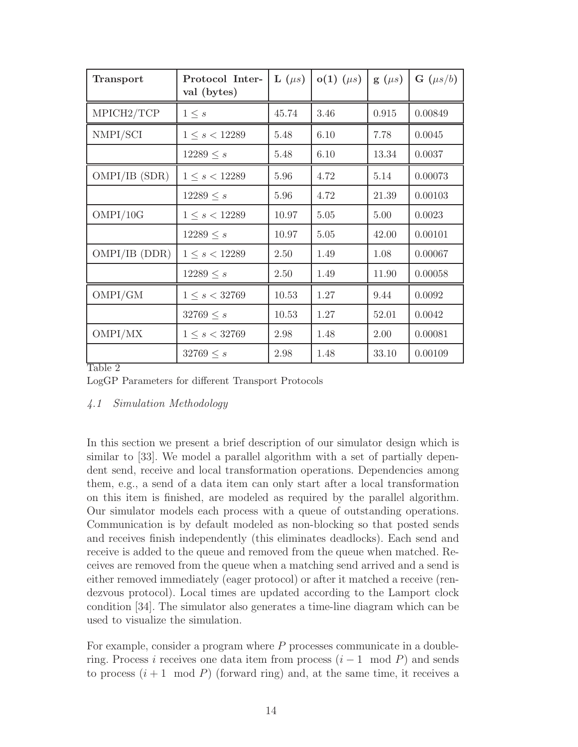| <b>Transport</b> | Protocol Inter-<br>val (bytes) | $\mathbf{L}(\mu s)$ | $o(1)$ ( $\mu s$ ) | $g(\mu s)$ | $\mathbf{G}(\mu s/b)$ |
|------------------|--------------------------------|---------------------|--------------------|------------|-----------------------|
| MPICH2/TCP       | $1 \leq s$                     | 45.74               | 3.46               | 0.915      | 0.00849               |
| NMPI/SCI         | $1 \leq s < 12289$             | 5.48                | 6.10               | 7.78       | 0.0045                |
|                  | $12289 \leq s$                 | 5.48                | 6.10               | 13.34      | 0.0037                |
| OMPI/IB(SDR)     | $1 \leq s < 12289$             | 5.96                | 4.72               | 5.14       | 0.00073               |
|                  | $12289 \leq s$                 | 5.96                | 4.72               | 21.39      | 0.00103               |
| OMPI/10G         | $1 \leq s < 12289$             | 10.97               | 5.05               | 5.00       | 0.0023                |
|                  | $12289 \leq s$                 | 10.97               | 5.05               | 42.00      | 0.00101               |
| OMPI/IB (DDR)    | $1 \leq s < 12289$             | 2.50                | 1.49               | 1.08       | 0.00067               |
|                  | $12289 \leq s$                 | 2.50                | 1.49               | 11.90      | 0.00058               |
| OMPI/GM          | $1 \leq s < 32769$             | 10.53               | 1.27               | 9.44       | 0.0092                |
|                  | $32769 \leq s$                 | 10.53               | 1.27               | 52.01      | 0.0042                |
| OMPI/MX          | $1 \leq s < 32769$             | 2.98                | 1.48               | 2.00       | 0.00081               |
|                  | $32769 \leq s$                 | 2.98                | 1.48               | 33.10      | 0.00109               |

Table 2

LogGP Parameters for different Transport Protocols

## 4.1 Simulation Methodology

In this section we present a brief description of our simulator design which is similar to [33]. We model a parallel algorithm with a set of partially dependent send, receive and local transformation operations. Dependencies among them, e.g., a send of a data item can only start after a local transformation on this item is finished, are modeled as required by the parallel algorithm. Our simulator models each process with a queue of outstanding operations. Communication is by default modeled as non-blocking so that posted sends and receives finish independently (this eliminates deadlocks). Each send and receive is added to the queue and removed from the queue when matched. Receives are removed from the queue when a matching send arrived and a send is either removed immediately (eager protocol) or after it matched a receive (rendezvous protocol). Local times are updated according to the Lamport clock condition [34]. The simulator also generates a time-line diagram which can be used to visualize the simulation.

For example, consider a program where P processes communicate in a doublering. Process i receives one data item from process  $(i - 1 \mod P)$  and sends to process  $(i + 1 \mod P)$  (forward ring) and, at the same time, it receives a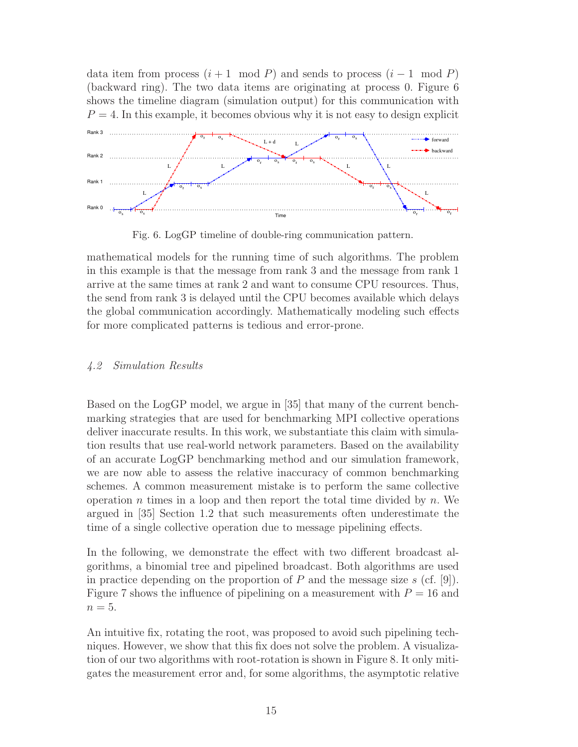data item from process  $(i + 1 \mod P)$  and sends to process  $(i - 1 \mod P)$ (backward ring). The two data items are originating at process 0. Figure 6 shows the timeline diagram (simulation output) for this communication with  $P = 4$ . In this example, it becomes obvious why it is not easy to design explicit



Fig. 6. LogGP timeline of double-ring communication pattern.

mathematical models for the running time of such algorithms. The problem in this example is that the message from rank 3 and the message from rank 1 arrive at the same times at rank 2 and want to consume CPU resources. Thus, the send from rank 3 is delayed until the CPU becomes available which delays the global communication accordingly. Mathematically modeling such effects for more complicated patterns is tedious and error-prone.

## 4.2 Simulation Results

Based on the LogGP model, we argue in [35] that many of the current benchmarking strategies that are used for benchmarking MPI collective operations deliver inaccurate results. In this work, we substantiate this claim with simulation results that use real-world network parameters. Based on the availability of an accurate LogGP benchmarking method and our simulation framework, we are now able to assess the relative inaccuracy of common benchmarking schemes. A common measurement mistake is to perform the same collective operation n times in a loop and then report the total time divided by  $n$ . We argued in [35] Section 1.2 that such measurements often underestimate the time of a single collective operation due to message pipelining effects.

In the following, we demonstrate the effect with two different broadcast algorithms, a binomial tree and pipelined broadcast. Both algorithms are used in practice depending on the proportion of P and the message size s (cf. [9]). Figure 7 shows the influence of pipelining on a measurement with  $P = 16$  and  $n=5$ .

An intuitive fix, rotating the root, was proposed to avoid such pipelining techniques. However, we show that this fix does not solve the problem. A visualization of our two algorithms with root-rotation is shown in Figure 8. It only mitigates the measurement error and, for some algorithms, the asymptotic relative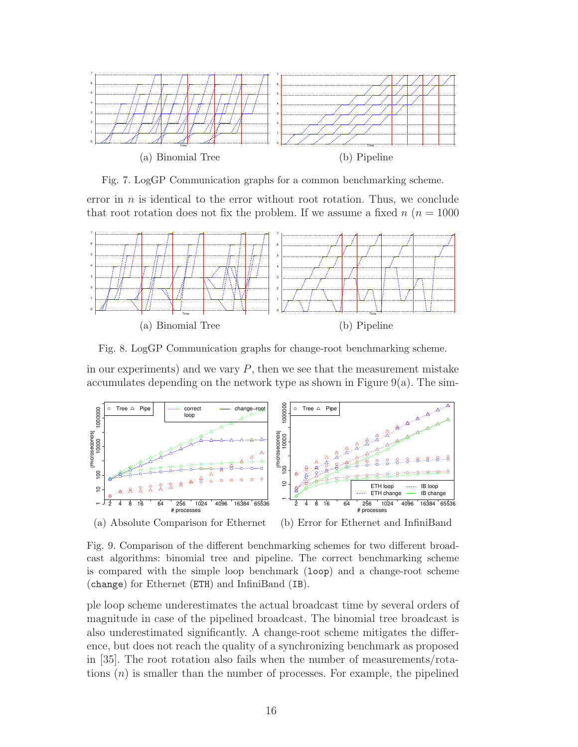

Fig. 7. LogGP Communication graphs for a common benchmarking scheme.

error in  $n$  is identical to the error without root rotation. Thus, we conclude that root rotation does not fix the problem. If we assume a fixed  $n (n = 1000$ 



Fig. 8. LogGP Communication graphs for change-root benchmarking scheme.

in our experiments) and we vary  $P$ , then we see that the measurement mistake accumulates depending on the network type as shown in Figure 9(a). The sim-



Fig. 9. Comparison of the different benchmarking schemes for two different broadcast algorithms: binomial tree and pipeline. The correct benchmarking scheme is compared with the simple loop benchmark (loop) and a change-root scheme (change) for Ethernet (ETH) and InfiniBand (IB).

ple loop scheme underestimates the actual broadcast time by several orders of magnitude in case of the pipelined broadcast. The binomial tree broadcast is also underestimated significantly. A change-root scheme mitigates the difference, but does not reach the quality of a synchronizing benchmark as proposed in [35]. The root rotation also fails when the number of measurements/rotations  $(n)$  is smaller than the number of processes. For example, the pipelined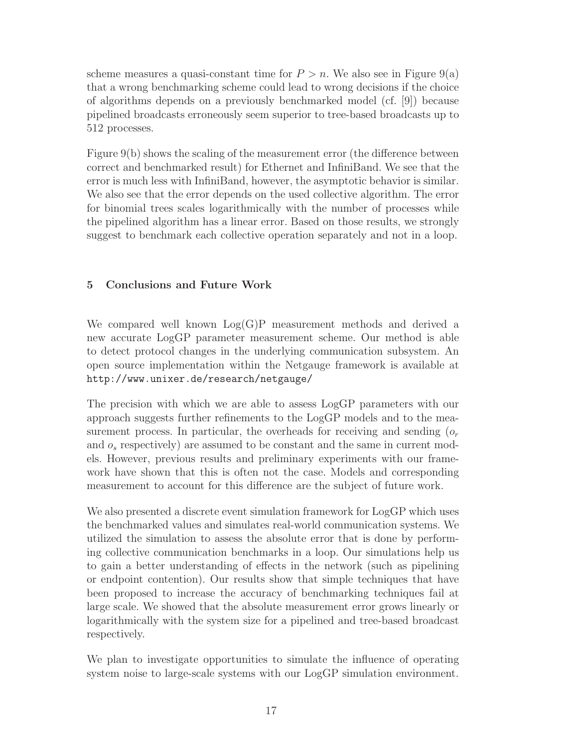scheme measures a quasi-constant time for  $P > n$ . We also see in Figure 9(a) that a wrong benchmarking scheme could lead to wrong decisions if the choice of algorithms depends on a previously benchmarked model (cf. [9]) because pipelined broadcasts erroneously seem superior to tree-based broadcasts up to 512 processes.

Figure 9(b) shows the scaling of the measurement error (the difference between correct and benchmarked result) for Ethernet and InfiniBand. We see that the error is much less with InfiniBand, however, the asymptotic behavior is similar. We also see that the error depends on the used collective algorithm. The error for binomial trees scales logarithmically with the number of processes while the pipelined algorithm has a linear error. Based on those results, we strongly suggest to benchmark each collective operation separately and not in a loop.

# 5 Conclusions and Future Work

We compared well known  $Log(G)P$  measurement methods and derived a new accurate LogGP parameter measurement scheme. Our method is able to detect protocol changes in the underlying communication subsystem. An open source implementation within the Netgauge framework is available at http://www.unixer.de/research/netgauge/

The precision with which we are able to assess LogGP parameters with our approach suggests further refinements to the LogGP models and to the measurement process. In particular, the overheads for receiving and sending  $(o<sub>r</sub>)$ and  $o_s$  respectively) are assumed to be constant and the same in current models. However, previous results and preliminary experiments with our framework have shown that this is often not the case. Models and corresponding measurement to account for this difference are the subject of future work.

We also presented a discrete event simulation framework for LogGP which uses the benchmarked values and simulates real-world communication systems. We utilized the simulation to assess the absolute error that is done by performing collective communication benchmarks in a loop. Our simulations help us to gain a better understanding of effects in the network (such as pipelining or endpoint contention). Our results show that simple techniques that have been proposed to increase the accuracy of benchmarking techniques fail at large scale. We showed that the absolute measurement error grows linearly or logarithmically with the system size for a pipelined and tree-based broadcast respectively.

We plan to investigate opportunities to simulate the influence of operating system noise to large-scale systems with our LogGP simulation environment.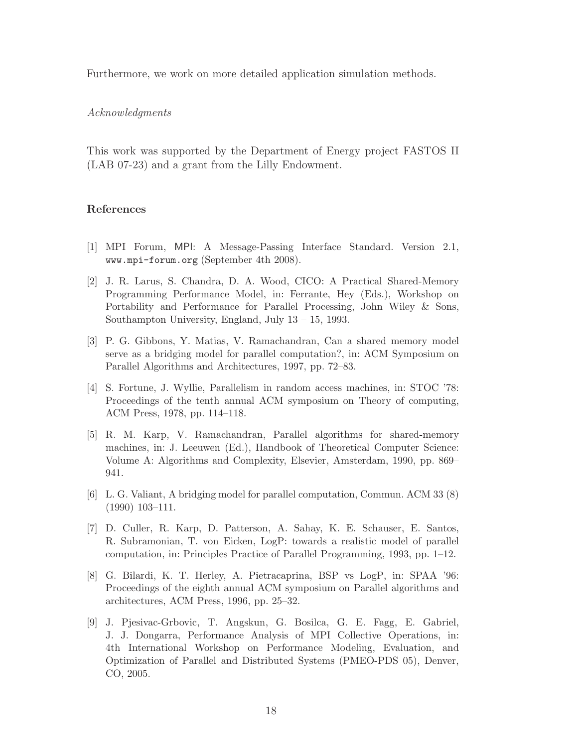Furthermore, we work on more detailed application simulation methods.

#### Acknowledgments

This work was supported by the Department of Energy project FASTOS II (LAB 07-23) and a grant from the Lilly Endowment.

#### References

- [1] MPI Forum, MPI: A Message-Passing Interface Standard. Version 2.1, www.mpi-forum.org (September 4th 2008).
- [2] J. R. Larus, S. Chandra, D. A. Wood, CICO: A Practical Shared-Memory Programming Performance Model, in: Ferrante, Hey (Eds.), Workshop on Portability and Performance for Parallel Processing, John Wiley & Sons, Southampton University, England, July 13 – 15, 1993.
- [3] P. G. Gibbons, Y. Matias, V. Ramachandran, Can a shared memory model serve as a bridging model for parallel computation?, in: ACM Symposium on Parallel Algorithms and Architectures, 1997, pp. 72–83.
- [4] S. Fortune, J. Wyllie, Parallelism in random access machines, in: STOC '78: Proceedings of the tenth annual ACM symposium on Theory of computing, ACM Press, 1978, pp. 114–118.
- [5] R. M. Karp, V. Ramachandran, Parallel algorithms for shared-memory machines, in: J. Leeuwen (Ed.), Handbook of Theoretical Computer Science: Volume A: Algorithms and Complexity, Elsevier, Amsterdam, 1990, pp. 869– 941.
- [6] L. G. Valiant, A bridging model for parallel computation, Commun. ACM 33 (8) (1990) 103–111.
- [7] D. Culler, R. Karp, D. Patterson, A. Sahay, K. E. Schauser, E. Santos, R. Subramonian, T. von Eicken, LogP: towards a realistic model of parallel computation, in: Principles Practice of Parallel Programming, 1993, pp. 1–12.
- [8] G. Bilardi, K. T. Herley, A. Pietracaprina, BSP vs LogP, in: SPAA '96: Proceedings of the eighth annual ACM symposium on Parallel algorithms and architectures, ACM Press, 1996, pp. 25–32.
- [9] J. Pjesivac-Grbovic, T. Angskun, G. Bosilca, G. E. Fagg, E. Gabriel, J. J. Dongarra, Performance Analysis of MPI Collective Operations, in: 4th International Workshop on Performance Modeling, Evaluation, and Optimization of Parallel and Distributed Systems (PMEO-PDS 05), Denver, CO, 2005.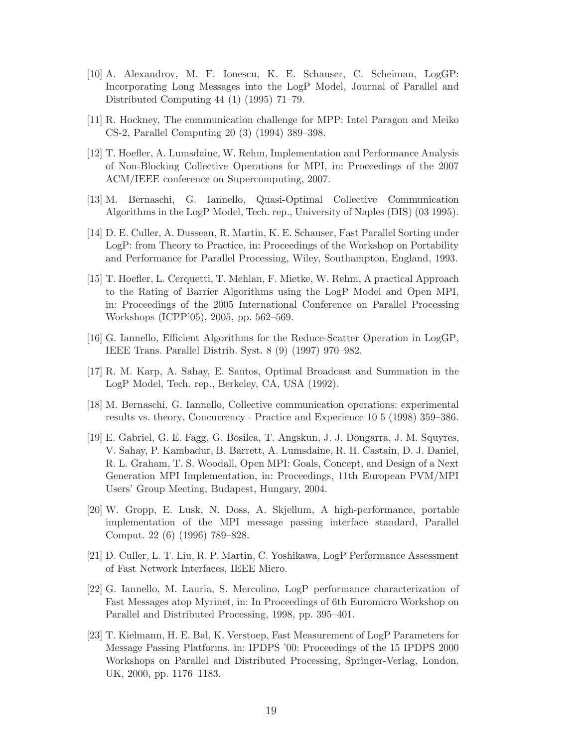- [10] A. Alexandrov, M. F. Ionescu, K. E. Schauser, C. Scheiman, LogGP: Incorporating Long Messages into the LogP Model, Journal of Parallel and Distributed Computing 44 (1) (1995) 71–79.
- [11] R. Hockney, The communication challenge for MPP: Intel Paragon and Meiko CS-2, Parallel Computing 20 (3) (1994) 389–398.
- [12] T. Hoefler, A. Lumsdaine, W. Rehm, Implementation and Performance Analysis of Non-Blocking Collective Operations for MPI, in: Proceedings of the 2007 ACM/IEEE conference on Supercomputing, 2007.
- [13] M. Bernaschi, G. Iannello, Quasi-Optimal Collective Communication Algorithms in the LogP Model, Tech. rep., University of Naples (DIS) (03 1995).
- [14] D. E. Culler, A. Dusseau, R. Martin, K. E. Schauser, Fast Parallel Sorting under LogP: from Theory to Practice, in: Proceedings of the Workshop on Portability and Performance for Parallel Processing, Wiley, Southampton, England, 1993.
- [15] T. Hoefler, L. Cerquetti, T. Mehlan, F. Mietke, W. Rehm, A practical Approach to the Rating of Barrier Algorithms using the LogP Model and Open MPI, in: Proceedings of the 2005 International Conference on Parallel Processing Workshops (ICPP'05), 2005, pp. 562–569.
- [16] G. Iannello, Efficient Algorithms for the Reduce-Scatter Operation in LogGP, IEEE Trans. Parallel Distrib. Syst. 8 (9) (1997) 970–982.
- [17] R. M. Karp, A. Sahay, E. Santos, Optimal Broadcast and Summation in the LogP Model, Tech. rep., Berkeley, CA, USA (1992).
- [18] M. Bernaschi, G. Iannello, Collective communication operations: experimental results vs. theory, Concurrency - Practice and Experience 10 5 (1998) 359–386.
- [19] E. Gabriel, G. E. Fagg, G. Bosilca, T. Angskun, J. J. Dongarra, J. M. Squyres, V. Sahay, P. Kambadur, B. Barrett, A. Lumsdaine, R. H. Castain, D. J. Daniel, R. L. Graham, T. S. Woodall, Open MPI: Goals, Concept, and Design of a Next Generation MPI Implementation, in: Proceedings, 11th European PVM/MPI Users' Group Meeting, Budapest, Hungary, 2004.
- [20] W. Gropp, E. Lusk, N. Doss, A. Skjellum, A high-performance, portable implementation of the MPI message passing interface standard, Parallel Comput. 22 (6) (1996) 789–828.
- [21] D. Culler, L. T. Liu, R. P. Martin, C. Yoshikawa, LogP Performance Assessment of Fast Network Interfaces, IEEE Micro.
- [22] G. Iannello, M. Lauria, S. Mercolino, LogP performance characterization of Fast Messages atop Myrinet, in: In Proceedings of 6th Euromicro Workshop on Parallel and Distributed Processing, 1998, pp. 395–401.
- [23] T. Kielmann, H. E. Bal, K. Verstoep, Fast Measurement of LogP Parameters for Message Passing Platforms, in: IPDPS '00: Proceedings of the 15 IPDPS 2000 Workshops on Parallel and Distributed Processing, Springer-Verlag, London, UK, 2000, pp. 1176–1183.